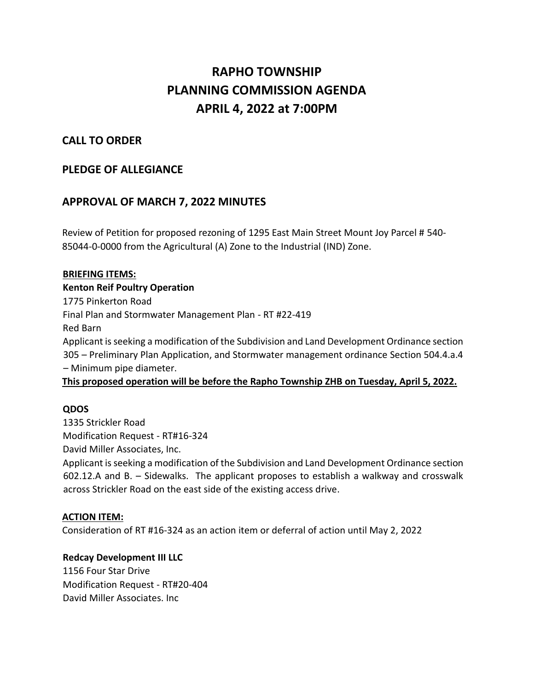# **RAPHO TOWNSHIP PLANNING COMMISSION AGENDA APRIL 4, 2022 at 7:00PM**

## **CALL TO ORDER**

## **PLEDGE OF ALLEGIANCE**

## **APPROVAL OF MARCH 7, 2022 MINUTES**

Review of Petition for proposed rezoning of 1295 East Main Street Mount Joy Parcel # 540- 85044-0-0000 from the Agricultural (A) Zone to the Industrial (IND) Zone.

#### **BRIEFING ITEMS:**

**Kenton Reif Poultry Operation** 1775 Pinkerton Road Final Plan and Stormwater Management Plan - RT #22-419 Red Barn Applicant is seeking a modification of the Subdivision and Land Development Ordinance section 305 – Preliminary Plan Application, and Stormwater management ordinance Section 504.4.a.4 – Minimum pipe diameter.

#### **This proposed operation will be before the Rapho Township ZHB on Tuesday, April 5, 2022.**

### **QDOS**

1335 Strickler Road Modification Request - RT#16-324 David Miller Associates, Inc.

Applicant is seeking a modification of the Subdivision and Land Development Ordinance section 602.12.A and B. – Sidewalks. The applicant proposes to establish a walkway and crosswalk across Strickler Road on the east side of the existing access drive.

#### **ACTION ITEM:**

Consideration of RT #16-324 as an action item or deferral of action until May 2, 2022

#### **Redcay Development III LLC**

1156 Four Star Drive Modification Request - RT#20-404 David Miller Associates. Inc